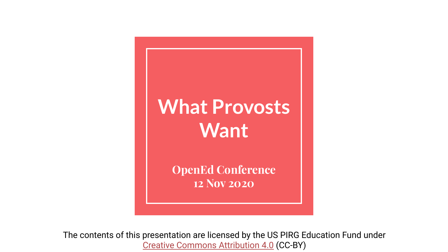### **What Provosts Want**

**OpenEd Conference 12 Nov 2020**

The contents of this presentation are licensed by the US PIRG Education Fund under [Creative Commons Attribution 4.0](https://creativecommons.org/licenses/by/4.0/) (CC-BY)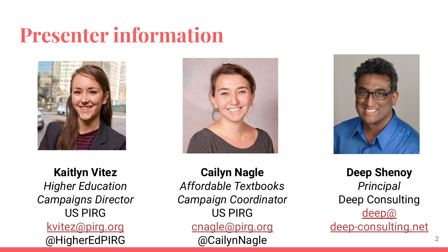### **Presenter information**



**Kaitlyn Vitez** *Higher Education Campaigns Director* US PIRG [kvitez@pirg.org](mailto:kvitez@pirg.org) @HigherEdPIRG







**Deep Shenoy** *Principal* Deep Consulting [deep@](mailto:deep@deep-consulting.net) [deep-consulting.net](mailto:deep@deep-consulting.net)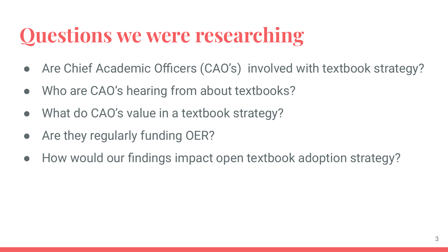# **Questions we were researching**

- Are Chief Academic Officers (CAO's) involved with textbook strategy?
- Who are CAO's hearing from about textbooks?
- What do CAO's value in a textbook strategy?
- Are they regularly funding OER?
- How would our findings impact open textbook adoption strategy?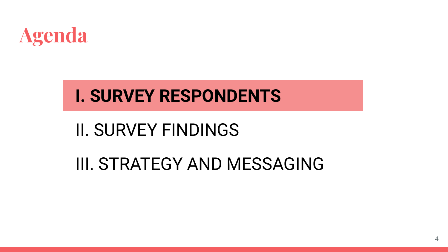

### **I. SURVEY RESPONDENTS**

### II. SURVEY FINDINGS

### III. STRATEGY AND MESSAGING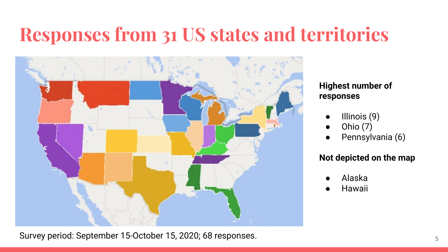### **Responses from 31 US states and territories**



Survey period: September 15-October 15, 2020; 68 responses. 5 The setting of the setting  $\frac{5}{5}$ 

#### **Highest number of responses**

- Illinois (9)
- Ohio (7)
- Pennsylvania (6)

#### **Not depicted on the map**

- Alaska
- **Hawaii**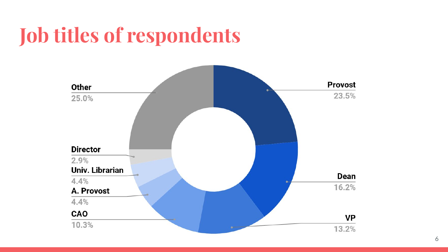# **Job titles of respondents**

![](_page_5_Figure_1.jpeg)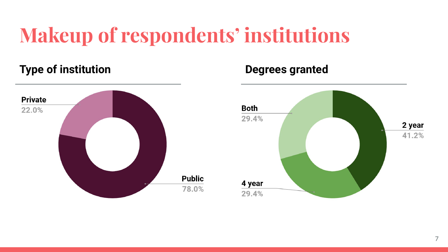# **Makeup of respondents' institutions**

### **Type of institution Degrees granted**

![](_page_6_Figure_2.jpeg)

![](_page_6_Figure_4.jpeg)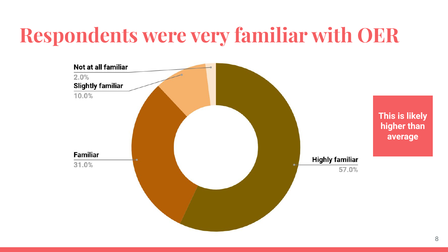# **Respondents were very familiar with OER**

![](_page_7_Figure_1.jpeg)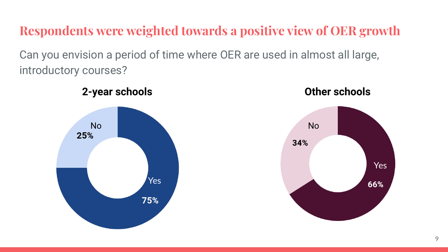**Respondents were weighted towards a positive view of OER growth**

Can you envision a period of time where OER are used in almost all large, introductory courses?

![](_page_8_Figure_2.jpeg)

![](_page_8_Figure_3.jpeg)

![](_page_8_Figure_4.jpeg)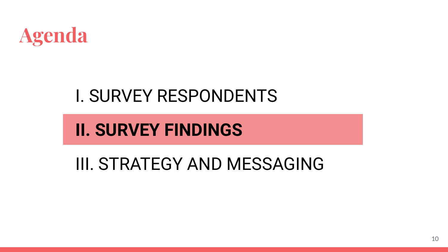![](_page_9_Picture_0.jpeg)

### I. SURVEY RESPONDENTS

### **II. SURVEY FINDINGS**

III. STRATEGY AND MESSAGING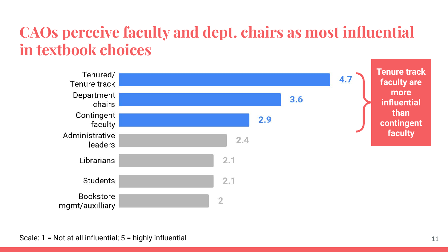### **CAOs perceive faculty and dept. chairs as most influential in textbook choices**

![](_page_10_Figure_1.jpeg)

Scale: 1 = Not at all influential; 5 = highly influential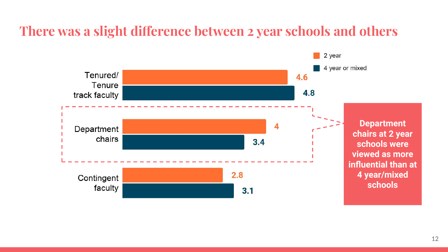### **There was a slight difference between 2 year schools and others**

![](_page_11_Figure_1.jpeg)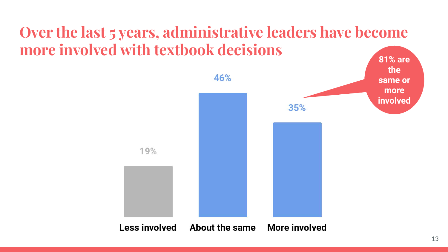### **Over the last 5 years, administrative leaders have become more involved with textbook decisions**

![](_page_12_Figure_1.jpeg)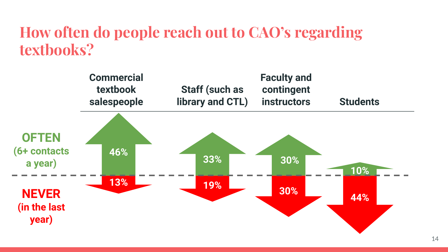### **How often do people reach out to CAO's regarding textbooks?**

![](_page_13_Figure_1.jpeg)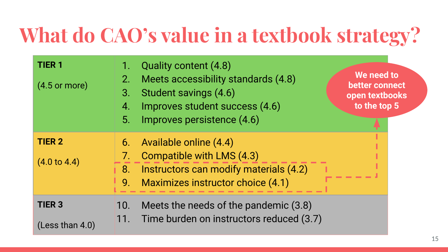# **What do CAO's value in a textbook strategy?**

| <b>TIER 1</b><br>$(4.5 \text{ or more})$ | Quality content (4.8)<br>Meets accessibility standards (4.8)<br>2.<br>Student savings (4.6)<br>3.<br>Improves student success (4.6)<br>4.<br>Improves persistence (4.6)<br>5. | We need to<br>better connect<br>open textbooks<br>to the top 5 |
|------------------------------------------|-------------------------------------------------------------------------------------------------------------------------------------------------------------------------------|----------------------------------------------------------------|
| <b>TIER 2</b><br>$(4.0 \text{ to } 4.4)$ | Available online (4.4)<br>6.<br>Compatible with LMS (4.3)<br>7.<br>Instructors can modify materials (4.2)<br>8.<br>Maximizes instructor choice (4.1)<br>9.                    |                                                                |
| <b>TIER 3</b><br>(Less than 4.0)         | Meets the needs of the pandemic (3.8)<br>10.<br>Time burden on instructors reduced (3.7)<br> 11.                                                                              |                                                                |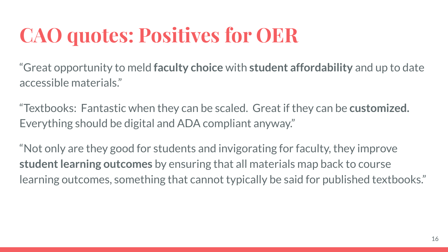# **CAO quotes: Positives for OER**

"Great opportunity to meld **faculty choice** with **student affordability** and up to date accessible materials."

"Textbooks: Fantastic when they can be scaled. Great if they can be **customized.**  Everything should be digital and ADA compliant anyway."

"Not only are they good for students and invigorating for faculty, they improve **student learning outcomes** by ensuring that all materials map back to course learning outcomes, something that cannot typically be said for published textbooks."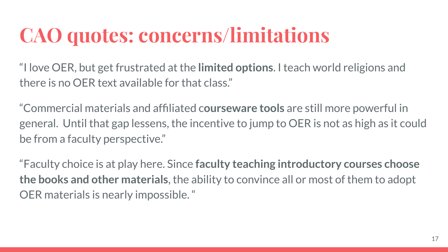# **CAO quotes: concerns/limitations**

"I love OER, but get frustrated at the **limited options**. I teach world religions and there is no OER text available for that class."

"Commercial materials and affiliated c**ourseware tools** are still more powerful in general. Until that gap lessens, the incentive to jump to OER is not as high as it could be from a faculty perspective."

"Faculty choice is at play here. Since **faculty teaching introductory courses choose the books and other materials**, the ability to convince all or most of them to adopt OER materials is nearly impossible. "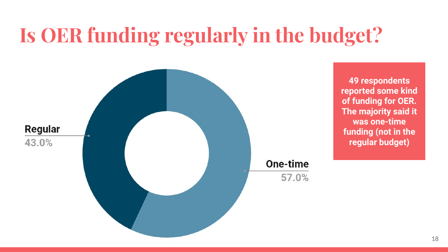# **Is OER funding regularly in the budget?**

![](_page_17_Figure_1.jpeg)

**49 respondents reported some kind of funding for OER. The majority said it was one-time funding (not in the regular budget)**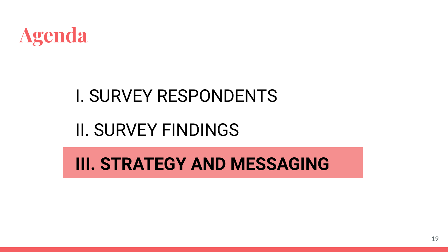![](_page_18_Picture_0.jpeg)

### I. SURVEY RESPONDENTS

### II. SURVEY FINDINGS

**III. STRATEGY AND MESSAGING**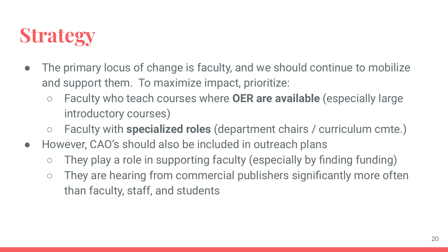### **Strategy**

- The primary locus of change is faculty, and we should continue to mobilize and support them. To maximize impact, prioritize:
	- Faculty who teach courses where **OER are available** (especially large introductory courses)
	- Faculty with **specialized roles** (department chairs / curriculum cmte.)
- However, CAO's should also be included in outreach plans
	- They play a role in supporting faculty (especially by finding funding)
	- They are hearing from commercial publishers significantly more often than faculty, staff, and students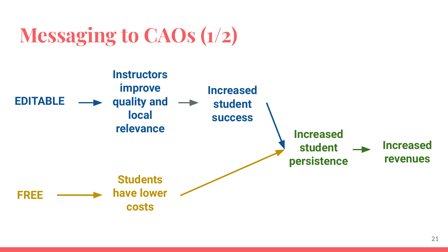# **Messaging to CAOs (1/2)**

![](_page_20_Figure_1.jpeg)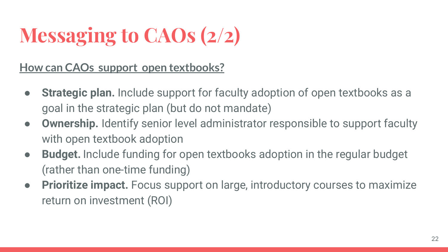# **Messaging to CAOs (2/2)**

**How can CAOs support open textbooks?**

- **Strategic plan.** Include support for faculty adoption of open textbooks as a goal in the strategic plan (but do not mandate)
- **Ownership.** Identify senior level administrator responsible to support faculty with open textbook adoption
- **Budget.** Include funding for open textbooks adoption in the regular budget (rather than one-time funding)
- **Prioritize impact.** Focus support on large, introductory courses to maximize return on investment (ROI)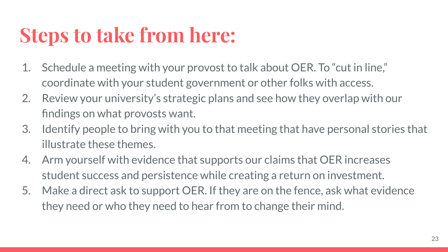# **Steps to take from here:**

- 1. Schedule a meeting with your provost to talk about OER. To "cut in line," coordinate with your student government or other folks with access.
- 2. Review your university's strategic plans and see how they overlap with our findings on what provosts want.
- 3. Identify people to bring with you to that meeting that have personal stories that illustrate these themes.
- 4. Arm yourself with evidence that supports our claims that OER increases student success and persistence while creating a return on investment.
- 5. Make a direct ask to support OER. If they are on the fence, ask what evidence they need or who they need to hear from to change their mind.